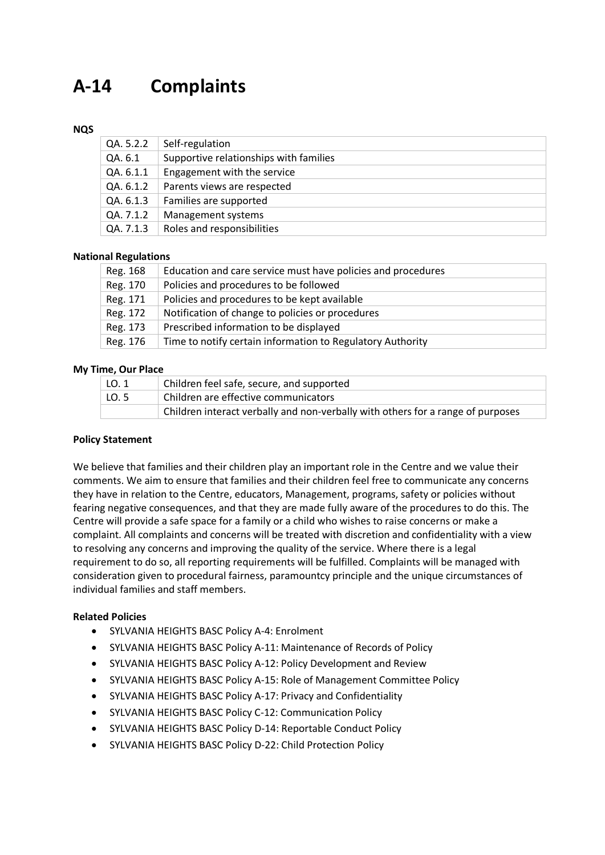# **A-14 Complaints**

## **NQS**

| QA. 5.2.2 | Self-regulation                        |
|-----------|----------------------------------------|
| QA. 6.1   | Supportive relationships with families |
| QA. 6.1.1 | Engagement with the service            |
| QA. 6.1.2 | Parents views are respected            |
| QA. 6.1.3 | Families are supported                 |
| QA. 7.1.2 | Management systems                     |
| QA. 7.1.3 | Roles and responsibilities             |

## **National Regulations**

| Reg. 168 | Education and care service must have policies and procedures |
|----------|--------------------------------------------------------------|
| Reg. 170 | Policies and procedures to be followed                       |
| Reg. 171 | Policies and procedures to be kept available                 |
| Reg. 172 | Notification of change to policies or procedures             |
| Reg. 173 | Prescribed information to be displayed                       |
| Reg. 176 | Time to notify certain information to Regulatory Authority   |

## **My Time, Our Place**

| LO. 1 | Children feel safe, secure, and supported                                       |
|-------|---------------------------------------------------------------------------------|
| LO. 5 | Children are effective communicators                                            |
|       | Children interact verbally and non-verbally with others for a range of purposes |

## **Policy Statement**

We believe that families and their children play an important role in the Centre and we value their comments. We aim to ensure that families and their children feel free to communicate any concerns they have in relation to the Centre, educators, Management, programs, safety or policies without fearing negative consequences, and that they are made fully aware of the procedures to do this. The Centre will provide a safe space for a family or a child who wishes to raise concerns or make a complaint. All complaints and concerns will be treated with discretion and confidentiality with a view to resolving any concerns and improving the quality of the service. Where there is a legal requirement to do so, all reporting requirements will be fulfilled. Complaints will be managed with consideration given to procedural fairness, paramountcy principle and the unique circumstances of individual families and staff members.

## **Related Policies**

- SYLVANIA HEIGHTS BASC Policy A-4: Enrolment
- SYLVANIA HEIGHTS BASC Policy A-11: Maintenance of Records of Policy
- SYLVANIA HEIGHTS BASC Policy A-12: Policy Development and Review
- SYLVANIA HEIGHTS BASC Policy A-15: Role of Management Committee Policy
- SYLVANIA HEIGHTS BASC Policy A-17: Privacy and Confidentiality
- SYLVANIA HEIGHTS BASC Policy C-12: Communication Policy
- SYLVANIA HEIGHTS BASC Policy D-14: Reportable Conduct Policy
- SYLVANIA HEIGHTS BASC Policy D-22: Child Protection Policy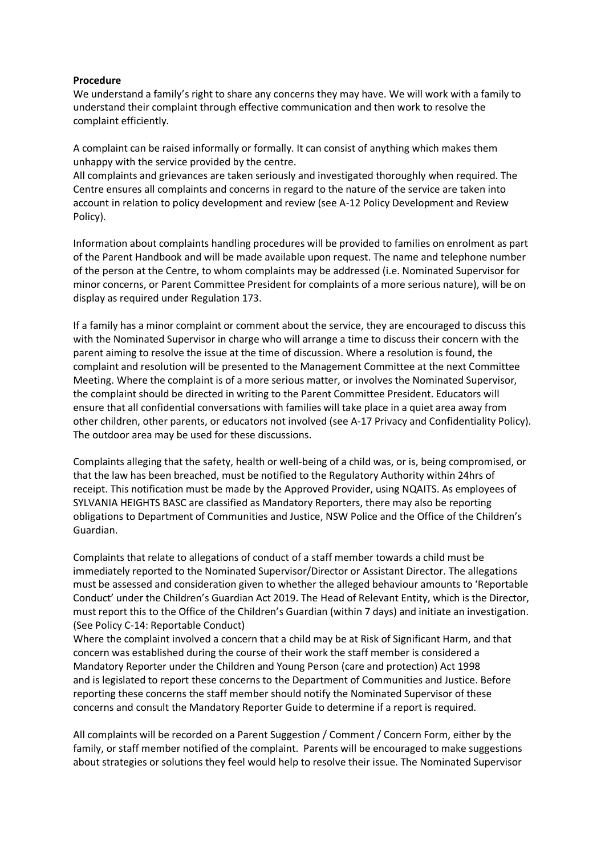## **Procedure**

We understand a family's right to share any concerns they may have. We will work with a family to understand their complaint through effective communication and then work to resolve the complaint efficiently.

A complaint can be raised informally or formally. It can consist of anything which makes them unhappy with the service provided by the centre.

All complaints and grievances are taken seriously and investigated thoroughly when required. The Centre ensures all complaints and concerns in regard to the nature of the service are taken into account in relation to policy development and review (see A-12 Policy Development and Review Policy).

Information about complaints handling procedures will be provided to families on enrolment as part of the Parent Handbook and will be made available upon request. The name and telephone number of the person at the Centre, to whom complaints may be addressed (i.e. Nominated Supervisor for minor concerns, or Parent Committee President for complaints of a more serious nature), will be on display as required under Regulation 173.

If a family has a minor complaint or comment about the service, they are encouraged to discuss this with the Nominated Supervisor in charge who will arrange a time to discuss their concern with the parent aiming to resolve the issue at the time of discussion. Where a resolution is found, the complaint and resolution will be presented to the Management Committee at the next Committee Meeting. Where the complaint is of a more serious matter, or involves the Nominated Supervisor, the complaint should be directed in writing to the Parent Committee President. Educators will ensure that all confidential conversations with families will take place in a quiet area away from other children, other parents, or educators not involved (see A-17 Privacy and Confidentiality Policy). The outdoor area may be used for these discussions.

Complaints alleging that the safety, health or well-being of a child was, or is, being compromised, or that the law has been breached, must be notified to the Regulatory Authority within 24hrs of receipt. This notification must be made by the Approved Provider, using NQAITS. As employees of SYLVANIA HEIGHTS BASC are classified as Mandatory Reporters, there may also be reporting obligations to Department of Communities and Justice, NSW Police and the Office of the Children's Guardian.

Complaints that relate to allegations of conduct of a staff member towards a child must be immediately reported to the Nominated Supervisor/Director or Assistant Director. The allegations must be assessed and consideration given to whether the alleged behaviour amounts to 'Reportable Conduct' under the Children's Guardian Act 2019. The Head of Relevant Entity, which is the Director, must report this to the Office of the Children's Guardian (within 7 days) and initiate an investigation. (See Policy C-14: Reportable Conduct)

Where the complaint involved a concern that a child may be at Risk of Significant Harm, and that concern was established during the course of their work the staff member is considered a Mandatory Reporter under the Children and Young Person (care and protection) Act 1998 and is legislated to report these concerns to the Department of Communities and Justice. Before reporting these concerns the staff member should notify the Nominated Supervisor of these concerns and consult the Mandatory Reporter Guide to determine if a report is required.

All complaints will be recorded on a Parent Suggestion / Comment / Concern Form, either by the family, or staff member notified of the complaint. Parents will be encouraged to make suggestions about strategies or solutions they feel would help to resolve their issue. The Nominated Supervisor